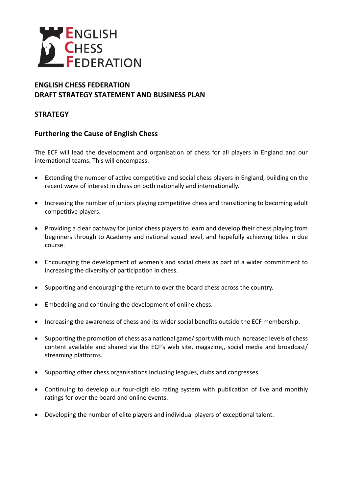

# **ENGLISH CHESS FEDERATION DRAFT STRATEGY STATEMENT AND BUSINESS PLAN**

# **STRATEGY**

# **Furthering the Cause of English Chess**

The ECF will lead the development and organisation of chess for all players in England and our international teams. This will encompass:

- Extending the number of active competitive and social chess players in England, building on the recent wave of interest in chess on both nationally and internationally.
- Increasing the number of juniors playing competitive chess and transitioning to becoming adult competitive players.
- Providing a clear pathway for junior chess players to learn and develop their chess playing from beginners through to Academy and national squad level, and hopefully achieving titles in due course.
- Encouraging the development of women's and social chess as part of a wider commitment to increasing the diversity of participation in chess.
- Supporting and encouraging the return to over the board chess across the country.
- Embedding and continuing the development of online chess.
- Increasing the awareness of chess and its wider social benefits outside the ECF membership.
- Supporting the promotion of chess as a national game/ sport with much increased levels of chess content available and shared via the ECF's web site, magazine,, social media and broadcast/ streaming platforms.
- Supporting other chess organisations including leagues, clubs and congresses.
- Continuing to develop our four-digit elo rating system with publication of live and monthly ratings for over the board and online events.
- Developing the number of elite players and individual players of exceptional talent.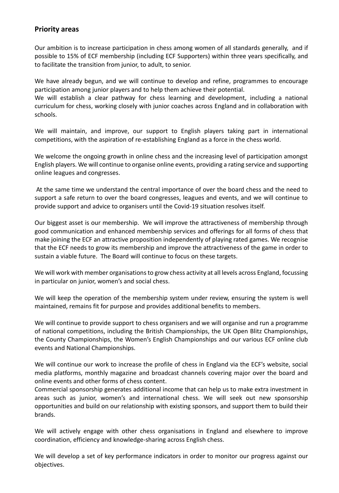### **Priority areas**

Our ambition is to increase participation in chess among women of all standards generally, and if possible to 15% of ECF membership (including ECF Supporters) within three years specifically, and to facilitate the transition from junior, to adult, to senior.

We have already begun, and we will continue to develop and refine, programmes to encourage participation among junior players and to help them achieve their potential.

We will establish a clear pathway for chess learning and development, including a national curriculum for chess, working closely with junior coaches across England and in collaboration with schools.

We will maintain, and improve, our support to English players taking part in international competitions, with the aspiration of re-establishing England as a force in the chess world.

We welcome the ongoing growth in online chess and the increasing level of participation amongst English players. We will continue to organise online events, providing a rating service and supporting online leagues and congresses.

At the same time we understand the central importance of over the board chess and the need to support a safe return to over the board congresses, leagues and events, and we will continue to provide support and advice to organisers until the Covid-19 situation resolves itself.

Our biggest asset is our membership. We will improve the attractiveness of membership through good communication and enhanced membership services and offerings for all forms of chess that make joining the ECF an attractive proposition independently of playing rated games. We recognise that the ECF needs to grow its membership and improve the attractiveness of the game in order to sustain a viable future. The Board will continue to focus on these targets.

We will work with member organisations to grow chess activity at all levels across England, focussing in particular on junior, women's and social chess.

We will keep the operation of the membership system under review, ensuring the system is well maintained, remains fit for purpose and provides additional benefits to members.

We will continue to provide support to chess organisers and we will organise and run a programme of national competitions, including the British Championships, the UK Open Blitz Championships, the County Championships, the Women's English Championships and our various ECF online club events and National Championships.

We will continue our work to increase the profile of chess in England via the ECF's website, social media platforms, monthly magazine and broadcast channels covering major over the board and online events and other forms of chess content.

Commercial sponsorship generates additional income that can help us to make extra investment in areas such as junior, women's and international chess. We will seek out new sponsorship opportunities and build on our relationship with existing sponsors, and support them to build their brands.

We will actively engage with other chess organisations in England and elsewhere to improve coordination, efficiency and knowledge-sharing across English chess.

We will develop a set of key performance indicators in order to monitor our progress against our objectives.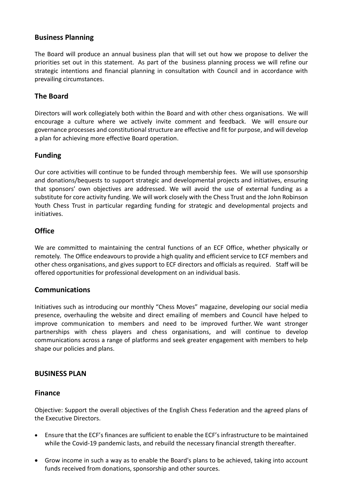# **Business Planning**

The Board will produce an annual business plan that will set out how we propose to deliver the priorities set out in this statement. As part of the business planning process we will refine our strategic intentions and financial planning in consultation with Council and in accordance with prevailing circumstances.

# **The Board**

Directors will work collegiately both within the Board and with other chess organisations. We will encourage a culture where we actively invite comment and feedback. We will ensure our governance processes and constitutional structure are effective and fit for purpose, and will develop a plan for achieving more effective Board operation.

# **Funding**

Our core activities will continue to be funded through membership fees. We will use sponsorship and donations/bequests to support strategic and developmental projects and initiatives, ensuring that sponsors' own objectives are addressed. We will avoid the use of external funding as a substitute for core activity funding. We will work closely with the Chess Trust and the John Robinson Youth Chess Trust in particular regarding funding for strategic and developmental projects and initiatives.

# **Office**

We are committed to maintaining the central functions of an ECF Office, whether physically or remotely. The Office endeavours to provide a high quality and efficient service to ECF members and other chess organisations, and gives support to ECF directors and officials as required. Staff will be offered opportunities for professional development on an individual basis.

### **Communications**

Initiatives such as introducing our monthly "Chess Moves" magazine, developing our social media presence, overhauling the website and direct emailing of members and Council have helped to improve communication to members and need to be improved further. We want stronger partnerships with chess players and chess organisations, and will continue to develop communications across a range of platforms and seek greater engagement with members to help shape our policies and plans.

### **BUSINESS PLAN**

#### **Finance**

Objective: Support the overall objectives of the English Chess Federation and the agreed plans of the Executive Directors.

- Ensure that the ECF's finances are sufficient to enable the ECF's infrastructure to be maintained while the Covid-19 pandemic lasts, and rebuild the necessary financial strength thereafter.
- Grow income in such a way as to enable the Board's plans to be achieved, taking into account funds received from donations, sponsorship and other sources.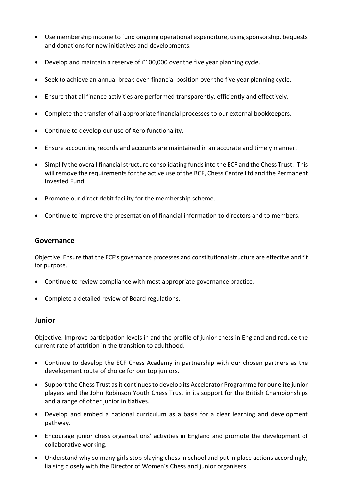- Use membership income to fund ongoing operational expenditure, using sponsorship, bequests and donations for new initiatives and developments.
- Develop and maintain a reserve of £100,000 over the five year planning cycle.
- Seek to achieve an annual break-even financial position over the five year planning cycle.
- Ensure that all finance activities are performed transparently, efficiently and effectively.
- Complete the transfer of all appropriate financial processes to our external bookkeepers.
- Continue to develop our use of Xero functionality.
- Ensure accounting records and accounts are maintained in an accurate and timely manner.
- Simplify the overall financial structure consolidating funds into the ECF and the Chess Trust. This will remove the requirements for the active use of the BCF, Chess Centre Ltd and the Permanent Invested Fund.
- Promote our direct debit facility for the membership scheme.
- Continue to improve the presentation of financial information to directors and to members.

### **Governance**

Objective: Ensure that the ECF's governance processes and constitutional structure are effective and fit for purpose.

- Continue to review compliance with most appropriate governance practice.
- Complete a detailed review of Board regulations.

#### **Junior**

Objective: Improve participation levels in and the profile of junior chess in England and reduce the current rate of attrition in the transition to adulthood.

- Continue to develop the ECF Chess Academy in partnership with our chosen partners as the development route of choice for our top juniors.
- Support the Chess Trust as it continues to develop its Accelerator Programme for our elite junior players and the John Robinson Youth Chess Trust in its support for the British Championships and a range of other junior initiatives.
- Develop and embed a national curriculum as a basis for a clear learning and development pathway.
- Encourage junior chess organisations' activities in England and promote the development of collaborative working.
- Understand why so many girls stop playing chess in school and put in place actions accordingly, liaising closely with the Director of Women's Chess and junior organisers.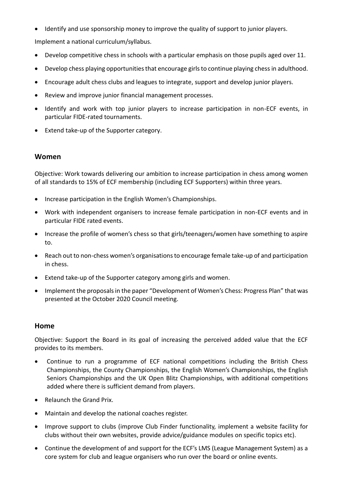• Identify and use sponsorship money to improve the quality of support to junior players.

Implement a national curriculum/syllabus.

- Develop competitive chess in schools with a particular emphasis on those pupils aged over 11.
- Develop chess playing opportunities that encourage girls to continue playing chess in adulthood.
- Encourage adult chess clubs and leagues to integrate, support and develop junior players.
- Review and improve junior financial management processes.
- Identify and work with top junior players to increase participation in non-ECF events, in particular FIDE-rated tournaments.
- Extend take-up of the Supporter category.

### **Women**

Objective: Work towards delivering our ambition to increase participation in chess among women of all standards to 15% of ECF membership (including ECF Supporters) within three years.

- Increase participation in the English Women's Championships.
- Work with independent organisers to increase female participation in non-ECF events and in particular FIDE rated events.
- Increase the profile of women's chess so that girls/teenagers/women have something to aspire to.
- Reach out to non-chess women's organisations to encourage female take-up of and participation in chess.
- Extend take-up of the Supporter category among girls and women.
- Implement the proposalsin the paper "Development of Women's Chess: Progress Plan" that was presented at the October 2020 Council meeting.

#### **Home**

Objective: Support the Board in its goal of increasing the perceived added value that the ECF provides to its members.

- Continue to run a programme of ECF national competitions including the British Chess Championships, the County Championships, the English Women's Championships, the English Seniors Championships and the UK Open Blitz Championships, with additional competitions added where there is sufficient demand from players.
- Relaunch the Grand Prix.
- Maintain and develop the national coaches register.
- Improve support to clubs (improve Club Finder functionality, implement a website facility for clubs without their own websites, provide advice/guidance modules on specific topics etc).
- Continue the development of and support for the ECF's LMS (League Management System) as a core system for club and league organisers who run over the board or online events.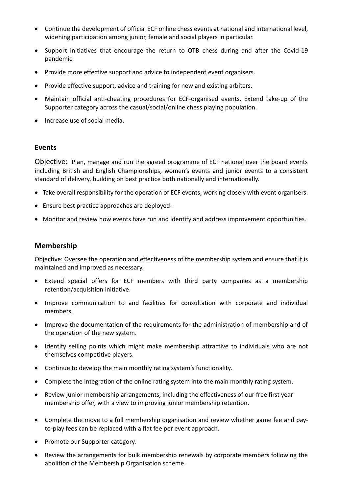- Continue the development of official ECF online chess events at national and international level, widening participation among junior, female and social players in particular.
- Support initiatives that encourage the return to OTB chess during and after the Covid-19 pandemic.
- Provide more effective support and advice to independent event organisers.
- Provide effective support, advice and training for new and existing arbiters.
- Maintain official anti-cheating procedures for ECF-organised events. Extend take-up of the Supporter category across the casual/social/online chess playing population.
- Increase use of social media.

### **Events**

Objective: Plan, manage and run the agreed programme of ECF national over the board events including British and English Championships, women's events and junior events to a consistent standard of delivery, building on best practice both nationally and internationally.

- Take overall responsibility for the operation of ECF events, working closely with event organisers.
- Ensure best practice approaches are deployed.
- Monitor and review how events have run and identify and address improvement opportunities.

# **Membership**

Objective: Oversee the operation and effectiveness of the membership system and ensure that it is maintained and improved as necessary.

- Extend special offers for ECF members with third party companies as a membership retention/acquisition initiative.
- Improve communication to and facilities for consultation with corporate and individual members.
- Improve the documentation of the requirements for the administration of membership and of the operation of the new system.
- Identify selling points which might make membership attractive to individuals who are not themselves competitive players.
- Continue to develop the main monthly rating system's functionality.
- Complete the Integration of the online rating system into the main monthly rating system.
- Review junior membership arrangements, including the effectiveness of our free first year membership offer, with a view to improving junior membership retention.
- Complete the move to a full membership organisation and review whether game fee and payto-play fees can be replaced with a flat fee per event approach.
- Promote our Supporter category.
- Review the arrangements for bulk membership renewals by corporate members following the abolition of the Membership Organisation scheme.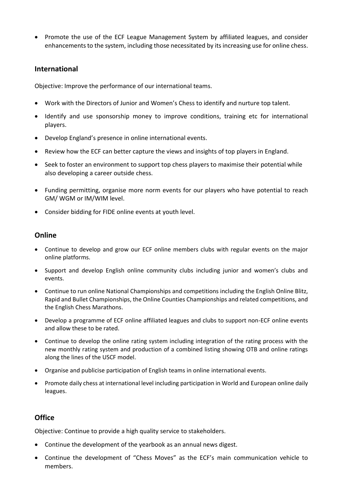• Promote the use of the ECF League Management System by affiliated leagues, and consider enhancements to the system, including those necessitated by its increasing use for online chess.

### **International**

Objective: Improve the performance of our international teams.

- Work with the Directors of Junior and Women's Chess to identify and nurture top talent.
- Identify and use sponsorship money to improve conditions, training etc for international players.
- Develop England's presence in online international events.
- Review how the ECF can better capture the views and insights of top players in England.
- Seek to foster an environment to support top chess players to maximise their potential while also developing a career outside chess.
- Funding permitting, organise more norm events for our players who have potential to reach GM/ WGM or IM/WIM level.
- Consider bidding for FIDE online events at youth level.

# **Online**

- Continue to develop and grow our ECF online members clubs with regular events on the major online platforms.
- Support and develop English online community clubs including junior and women's clubs and events.
- Continue to run online National Championships and competitions including the English Online Blitz, Rapid and Bullet Championships, the Online Counties Championships and related competitions, and the English Chess Marathons.
- Develop a programme of ECF online affiliated leagues and clubs to support non-ECF online events and allow these to be rated.
- Continue to develop the online rating system including integration of the rating process with the new monthly rating system and production of a combined listing showing OTB and online ratings along the lines of the USCF model.
- Organise and publicise participation of English teams in online international events.
- Promote daily chess at international level including participation in World and European online daily leagues.

# **Office**

Objective: Continue to provide a high quality service to stakeholders.

- Continue the development of the yearbook as an annual news digest.
- Continue the development of "Chess Moves" as the ECF's main communication vehicle to members.